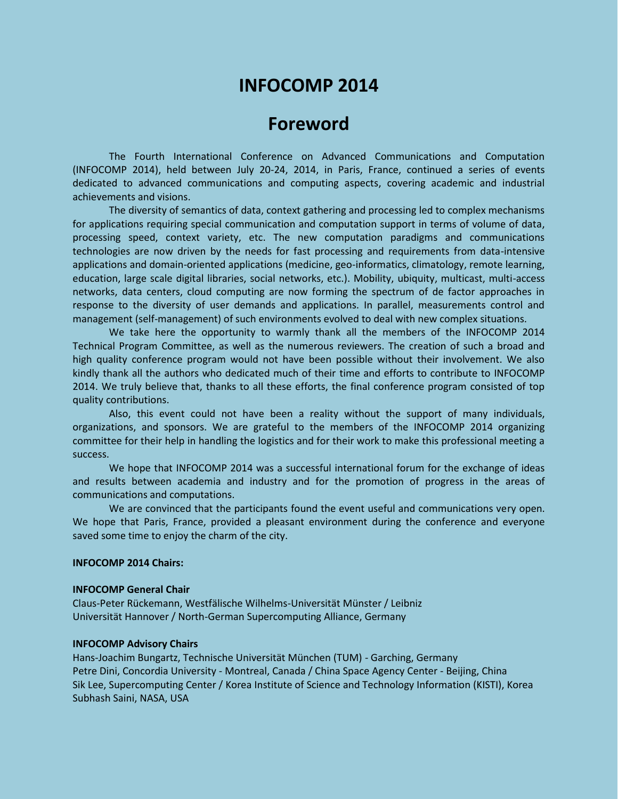# **INFOCOMP 2014**

# **Foreword**

The Fourth International Conference on Advanced Communications and Computation (INFOCOMP 2014), held between July 20-24, 2014, in Paris, France, continued a series of events dedicated to advanced communications and computing aspects, covering academic and industrial achievements and visions.

The diversity of semantics of data, context gathering and processing led to complex mechanisms for applications requiring special communication and computation support in terms of volume of data, processing speed, context variety, etc. The new computation paradigms and communications technologies are now driven by the needs for fast processing and requirements from data-intensive applications and domain-oriented applications (medicine, geo-informatics, climatology, remote learning, education, large scale digital libraries, social networks, etc.). Mobility, ubiquity, multicast, multi-access networks, data centers, cloud computing are now forming the spectrum of de factor approaches in response to the diversity of user demands and applications. In parallel, measurements control and management (self-management) of such environments evolved to deal with new complex situations.

We take here the opportunity to warmly thank all the members of the INFOCOMP 2014 Technical Program Committee, as well as the numerous reviewers. The creation of such a broad and high quality conference program would not have been possible without their involvement. We also kindly thank all the authors who dedicated much of their time and efforts to contribute to INFOCOMP 2014. We truly believe that, thanks to all these efforts, the final conference program consisted of top quality contributions.

Also, this event could not have been a reality without the support of many individuals, organizations, and sponsors. We are grateful to the members of the INFOCOMP 2014 organizing committee for their help in handling the logistics and for their work to make this professional meeting a success.

We hope that INFOCOMP 2014 was a successful international forum for the exchange of ideas and results between academia and industry and for the promotion of progress in the areas of communications and computations.

We are convinced that the participants found the event useful and communications very open. We hope that Paris, France, provided a pleasant environment during the conference and everyone saved some time to enjoy the charm of the city.

#### **INFOCOMP 2014 Chairs:**

#### **INFOCOMP General Chair**

Claus-Peter Rückemann, Westfälische Wilhelms-Universität Münster / Leibniz Universität Hannover / North-German Supercomputing Alliance, Germany

# **INFOCOMP Advisory Chairs**

Hans-Joachim Bungartz, Technische Universität München (TUM) - Garching, Germany Petre Dini, Concordia University - Montreal, Canada / China Space Agency Center - Beijing, China Sik Lee, Supercomputing Center / Korea Institute of Science and Technology Information (KISTI), Korea Subhash Saini, NASA, USA